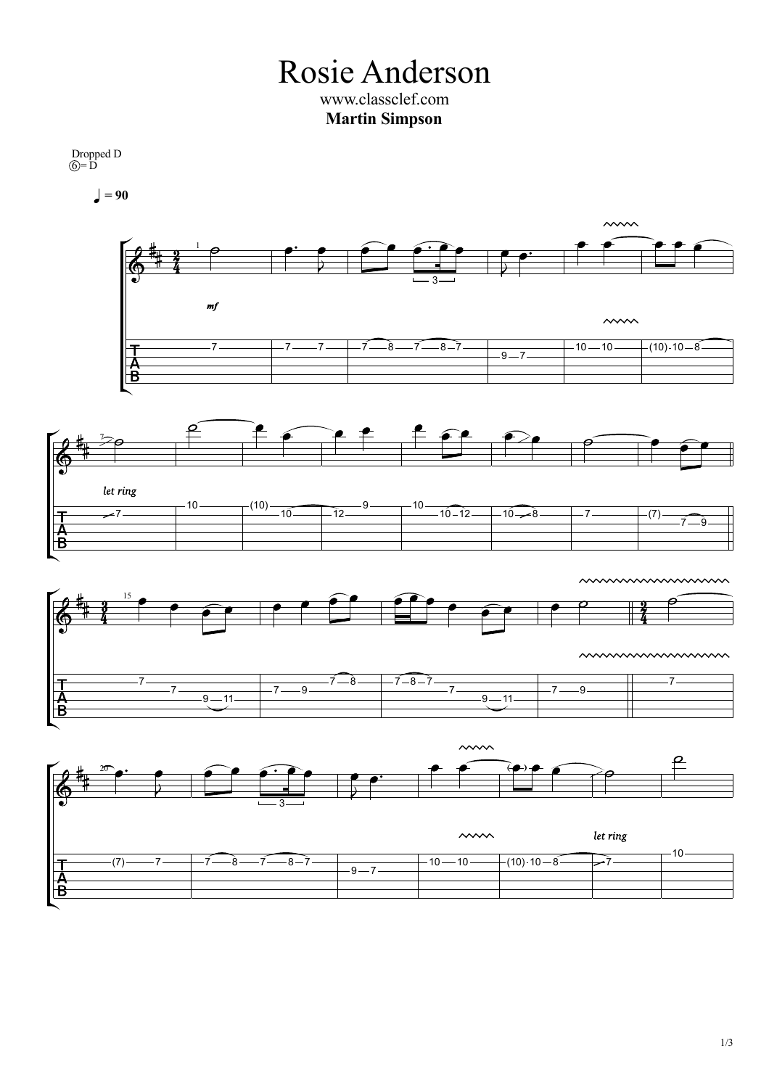Rosie Anderson www.classclef.com **Martin Simpson**

Dropped D  $\widehat{O} = \overline{D}$ 

ka

T<br>A<br>B

T<br>A<br>B

 $= 90$ 



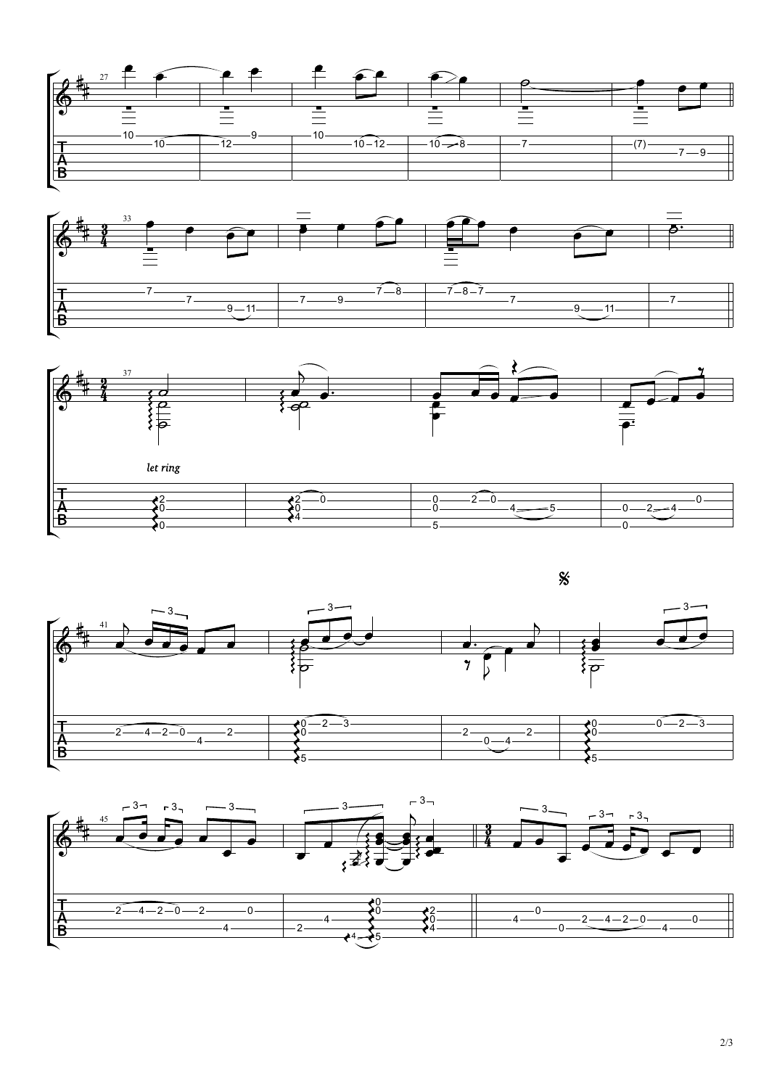









2/3